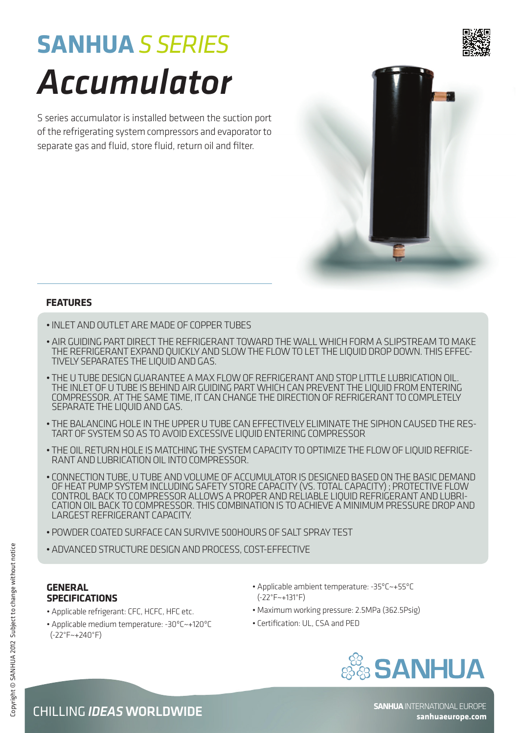## **SANHUA** *S SERIES Accumulator*

S series accumulator is installed between the suction port of the refrigerating system compressors and evaporator to separate gas and fluid, store fluid, return oil and filter.



## **FEATURES**

- Inlet and outlet are made of copper tubes
- Air guiding part direct the refrigerant toward the wall which form a slipstream to make THE REFRIGERANT EXPAND QUICKLY AND SLOW THE FLOW TO LET THE LIQUID DROP DOWN. THIS EFFEC-<br>TIVELY SEPARATES THE LIQUID AND GAS.
- The U tube design guarantee a max flow of refrigerant and stop little lubrication oil. The inlet of U tube is behind air guiding part which can prevent the liquid from entering compressor. At the same time, it can change the direction of refrigerant to completely separate the liquid and gas.
- THE BALANCING HOLE IN THE UPPER U TUBE CAN EFFECTIVELY ELIMINATE THE SIPHON CAUSED THE RES-<br>TART OF SYSTEM SO AS TO AVOID EXCESSIVE LIQUID ENTERING COMPRESSOR
- THE OIL RETURN HOLE IS MATCHING THE SYSTEM CAPACITY TO OPTIMIZE THE FLOW OF LIQUID REFRIGE-<br>RANT AND LUBRICATION OIL INTO COMPRESSOR.
- Connection tube, U tube and volume of accumulator is designed based on the basic demand of Heat pump system including safety store capacity (vs. total capacity) ; protective flow CATION OIL BACK TO COMPRESSOR. THIS COMBINATION IS TO ACHIEVE A MINIMUM PRESSURE DROP AND largest refrigerant capacity.
- Powder coated surface can survive 500hours of salt spray test
- Advanced structure design and process, cost-effective

## **General Specifications**

- Applicable refrigerant: CFC, HCFC, HFC etc.
- Applicable medium temperature: -30ºC~+120ºC (-22°F~+240°F)
- Applicable ambient temperature: -35ºC~+55ºC (-22°F~+131°F)
- Maximum working pressure: 2.5MPa (362.5Psig)
- Certification: UL, CSA and PED





**sanhuaeurope.com**